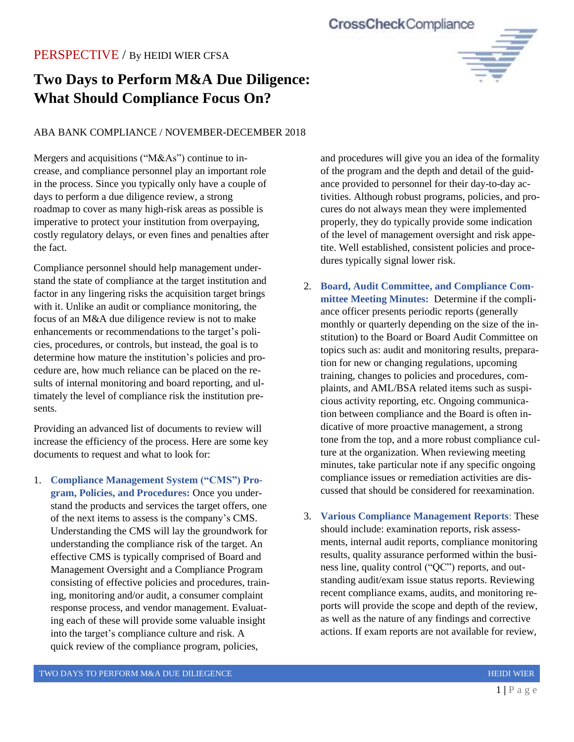## **CrossCheckCompliance**

## PERSPECTIVE / By HEIDI WIER CFSA

# **Two Days to Perform M&A Due Diligence: What Should Compliance Focus On?**

### ABA BANK COMPLIANCE / NOVEMBER-DECEMBER 2018

Mergers and acquisitions ("M&As") continue to increase, and compliance personnel play an important role in the process. Since you typically only have a couple of days to perform a due diligence review, a strong roadmap to cover as many high-risk areas as possible is imperative to protect your institution from overpaying, costly regulatory delays, or even fines and penalties after the fact.

Compliance personnel should help management understand the state of compliance at the target institution and factor in any lingering risks the acquisition target brings with it. Unlike an audit or compliance monitoring, the focus of an M&A due diligence review is not to make enhancements or recommendations to the target's policies, procedures, or controls, but instead, the goal is to determine how mature the institution's policies and procedure are, how much reliance can be placed on the results of internal monitoring and board reporting, and ultimately the level of compliance risk the institution presents.

Providing an advanced list of documents to review will increase the efficiency of the process. Here are some key documents to request and what to look for:

1. **Compliance Management System ("CMS") Program, Policies, and Procedures:** Once you understand the products and services the target offers, one of the next items to assess is the company's CMS. Understanding the CMS will lay the groundwork for understanding the compliance risk of the target. An effective CMS is typically comprised of Board and Management Oversight and a Compliance Program consisting of effective policies and procedures, training, monitoring and/or audit, a consumer complaint response process, and vendor management. Evaluating each of these will provide some valuable insight into the target's compliance culture and risk. A quick review of the compliance program, policies,

and procedures will give you an idea of the formality of the program and the depth and detail of the guidance provided to personnel for their day-to-day activities. Although robust programs, policies, and procures do not always mean they were implemented properly, they do typically provide some indication of the level of management oversight and risk appetite. Well established, consistent policies and procedures typically signal lower risk.

- 2. **Board, Audit Committee, and Compliance Committee Meeting Minutes:** Determine if the compliance officer presents periodic reports (generally monthly or quarterly depending on the size of the institution) to the Board or Board Audit Committee on topics such as: audit and monitoring results, preparation for new or changing regulations, upcoming training, changes to policies and procedures, complaints, and AML/BSA related items such as suspicious activity reporting, etc. Ongoing communication between compliance and the Board is often indicative of more proactive management, a strong tone from the top, and a more robust compliance culture at the organization. When reviewing meeting minutes, take particular note if any specific ongoing compliance issues or remediation activities are discussed that should be considered for reexamination.
- 3. **Various Compliance Management Reports**: These should include: examination reports, risk assessments, internal audit reports, compliance monitoring results, quality assurance performed within the business line, quality control ("QC") reports, and outstanding audit/exam issue status reports. Reviewing recent compliance exams, audits, and monitoring reports will provide the scope and depth of the review, as well as the nature of any findings and corrective actions. If exam reports are not available for review,

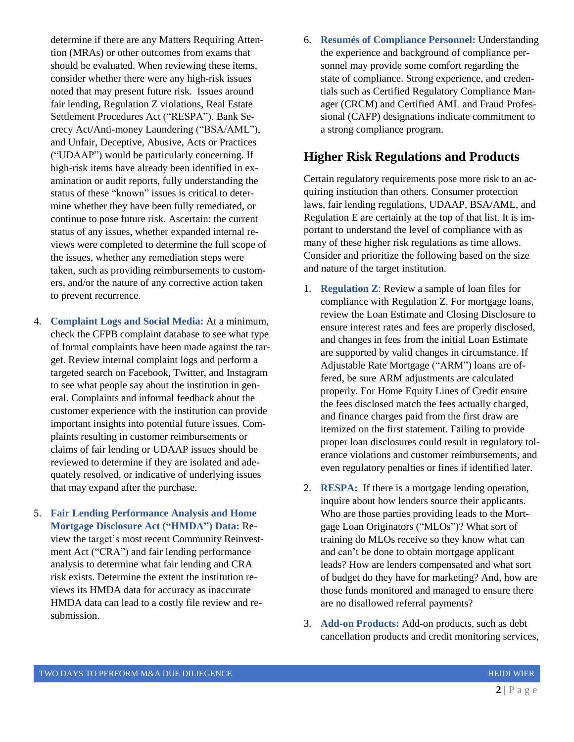determine if there are any Matters Requiring Attention (MRAs) or other outcomes from exams that should be evaluated. When reviewing these items, consider whether there were any high-risk issues noted that may present future risk. Issues around fair lending, Regulation Z violations, Real Estate Settlement Procedures Act ("RESPA"), Bank Secrecy Act/Anti-money Laundering ("BSA/AML"), and Unfair, Deceptive, Abusive, Acts or Practices ("UDAAP") would be particularly concerning. If high-risk items have already been identified in examination or audit reports, fully understanding the status of these "known" issues is critical to determine whether they have been fully remediated, or continue to pose future risk. Ascertain: the current status of any issues, whether expanded internal reviews were completed to determine the full scope of the issues, whether any remediation steps were taken, such as providing reimbursements to customers, and/or the nature of any corrective action taken to prevent recurrence.

- 4. **Complaint Logs and Social Media:** At a minimum, check the CFPB complaint database to see what type of formal complaints have been made against the target. Review internal complaint logs and perform a targeted search on Facebook, Twitter, and Instagram to see what people say about the institution in general. Complaints and informal feedback about the customer experience with the institution can provide important insights into potential future issues. Complaints resulting in customer reimbursements or claims of fair lending or UDAAP issues should be reviewed to determine if they are isolated and adequately resolved, or indicative of underlying issues that may expand after the purchase.
- 5. **Fair Lending Performance Analysis and Home Mortgage Disclosure Act ("HMDA") Data:** Review the target's most recent Community Reinvestment Act ("CRA") and fair lending performance analysis to determine what fair lending and CRA risk exists. Determine the extent the institution reviews its HMDA data for accuracy as inaccurate HMDA data can lead to a costly file review and resubmission.

6. **Resumés of Compliance Personnel:** Understanding the experience and background of compliance personnel may provide some comfort regarding the state of compliance. Strong experience, and credentials such as Certified Regulatory Compliance Manager (CRCM) and Certified AML and Fraud Professional (CAFP) designations indicate commitment to a strong compliance program.

## **Higher Risk Regulations and Products**

Certain regulatory requirements pose more risk to an acquiring institution than others. Consumer protection laws, fair lending regulations, UDAAP, BSA/AML, and Regulation E are certainly at the top of that list. It is important to understand the level of compliance with as many of these higher risk regulations as time allows. Consider and prioritize the following based on the size and nature of the target institution.

- 1. **Regulation Z**: Review a sample of loan files for compliance with Regulation Z. For mortgage loans, review the Loan Estimate and Closing Disclosure to ensure interest rates and fees are properly disclosed, and changes in fees from the initial Loan Estimate are supported by valid changes in circumstance. If Adjustable Rate Mortgage ("ARM") loans are offered, be sure ARM adjustments are calculated properly. For Home Equity Lines of Credit ensure the fees disclosed match the fees actually charged, and finance charges paid from the first draw are itemized on the first statement. Failing to provide proper loan disclosures could result in regulatory tolerance violations and customer reimbursements, and even regulatory penalties or fines if identified later.
- 2. **RESPA:** If there is a mortgage lending operation, inquire about how lenders source their applicants. Who are those parties providing leads to the Mortgage Loan Originators ("MLOs")? What sort of training do MLOs receive so they know what can and can't be done to obtain mortgage applicant leads? How are lenders compensated and what sort of budget do they have for marketing? And, how are those funds monitored and managed to ensure there are no disallowed referral payments?
- 3. **Add-on Products:** Add-on products, such as debt cancellation products and credit monitoring services,